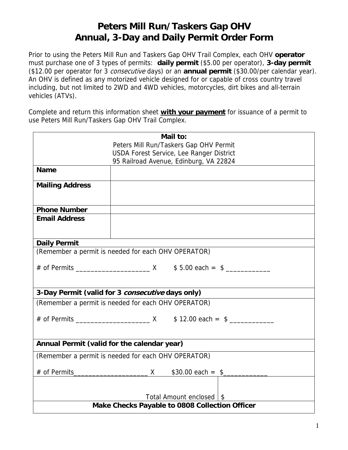# **Peters Mill Run/Taskers Gap OHV Annual, 3-Day and Daily Permit Order Form**

Prior to using the Peters Mill Run and Taskers Gap OHV Trail Complex, each OHV **operator** must purchase one of 3 types of permits: **daily permit** (\$5.00 per operator), **3-day permit** (\$12.00 per operator for 3 consecutive days) or an **annual permit** (\$30.00/per calendar year). An OHV is defined as any motorized vehicle designed for or capable of cross country travel including, but not limited to 2WD and 4WD vehicles, motorcycles, dirt bikes and all-terrain vehicles (ATVs).

Complete and return this information sheet **with your payment** for issuance of a permit to use Peters Mill Run/Taskers Gap OHV Trail Complex.

| Mail to:                                            |                                          |
|-----------------------------------------------------|------------------------------------------|
|                                                     | Peters Mill Run/Taskers Gap OHV Permit   |
|                                                     | USDA Forest Service, Lee Ranger District |
|                                                     | 95 Railroad Avenue, Edinburg, VA 22824   |
| <b>Name</b>                                         |                                          |
| <b>Mailing Address</b>                              |                                          |
| <b>Phone Number</b>                                 |                                          |
| <b>Email Address</b>                                |                                          |
|                                                     |                                          |
| <b>Daily Permit</b>                                 |                                          |
| (Remember a permit is needed for each OHV OPERATOR) |                                          |
|                                                     |                                          |
|                                                     |                                          |
|                                                     |                                          |
|                                                     |                                          |
| 3-Day Permit (valid for 3 consecutive days only)    |                                          |
| (Remember a permit is needed for each OHV OPERATOR) |                                          |
|                                                     |                                          |
|                                                     |                                          |
|                                                     |                                          |
| Annual Permit (valid for the calendar year)         |                                          |
| (Remember a permit is needed for each OHV OPERATOR) |                                          |
|                                                     |                                          |
|                                                     |                                          |
|                                                     |                                          |
| Total Amount enclosed   \$                          |                                          |
|                                                     |                                          |
| Make Checks Payable to 0808 Collection Officer      |                                          |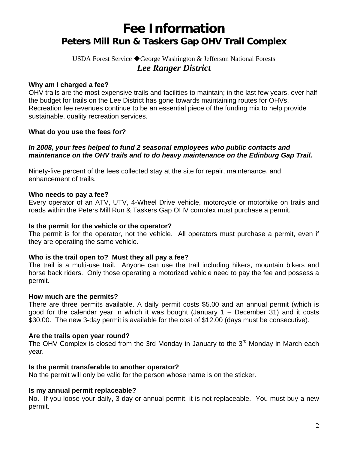# **Fee Information Peters Mill Run & Taskers Gap OHV Trail Complex**

# USDA Forest Service ◆ George Washington & Jefferson National Forests *Lee Ranger District*

#### **Why am I charged a fee?**

OHV trails are the most expensive trails and facilities to maintain; in the last few years, over half the budget for trails on the Lee District has gone towards maintaining routes for OHVs. Recreation fee revenues continue to be an essential piece of the funding mix to help provide sustainable, quality recreation services.

#### **What do you use the fees for?**

#### *In 2008, your fees helped to fund 2 seasonal employees who public contacts and maintenance on the OHV trails and to do heavy maintenance on the Edinburg Gap Trail.*

Ninety-five percent of the fees collected stay at the site for repair, maintenance, and enhancement of trails.

#### **Who needs to pay a fee?**

Every operator of an ATV, UTV, 4-Wheel Drive vehicle, motorcycle or motorbike on trails and roads within the Peters Mill Run & Taskers Gap OHV complex must purchase a permit.

#### **Is the permit for the vehicle or the operator?**

The permit is for the operator, not the vehicle. All operators must purchase a permit, even if they are operating the same vehicle.

#### **Who is the trail open to? Must they all pay a fee?**

The trail is a multi-use trail. Anyone can use the trail including hikers, mountain bikers and horse back riders. Only those operating a motorized vehicle need to pay the fee and possess a permit.

#### **How much are the permits?**

There are three permits available. A daily permit costs \$5.00 and an annual permit (which is good for the calendar year in which it was bought (January 1 – December 31) and it costs \$30.00. The new 3-day permit is available for the cost of \$12.00 (days must be consecutive).

#### **Are the trails open year round?**

The OHV Complex is closed from the 3rd Monday in January to the 3<sup>rd</sup> Monday in March each year.

#### **Is the permit transferable to another operator?**

No the permit will only be valid for the person whose name is on the sticker.

# **Is my annual permit replaceable?**

No. If you loose your daily, 3-day or annual permit, it is not replaceable. You must buy a new permit.